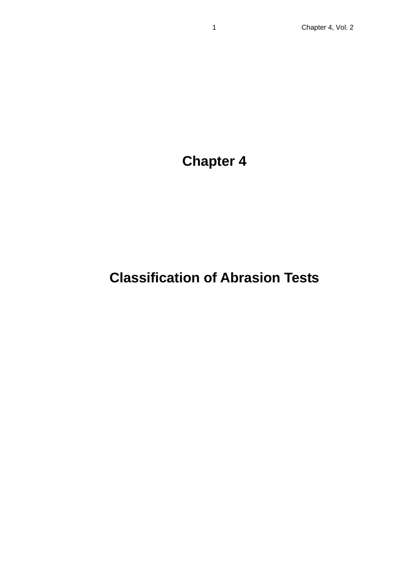# **Chapter 4**

# **Classification of Abrasion Tests**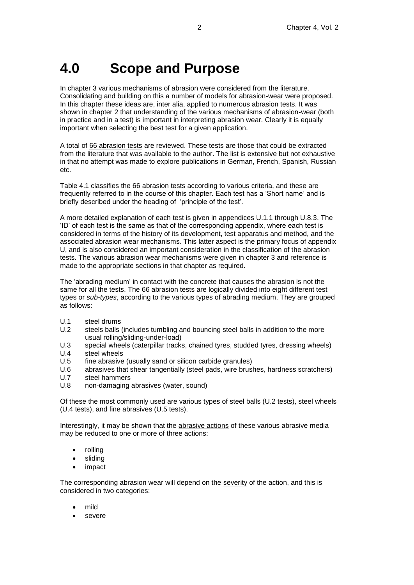# **4.0 Scope and Purpose**

In chapter 3 various mechanisms of abrasion were considered from the literature. Consolidating and building on this a number of models for abrasion-wear were proposed. In this chapter these ideas are, inter alia, applied to numerous abrasion tests. It was shown in chapter 2 that understanding of the various mechanisms of abrasion-wear (both in practice and in a test) is important in interpreting abrasion wear. Clearly it is equally important when selecting the best test for a given application.

A total of 66 abrasion tests are reviewed. These tests are those that could be extracted from the literature that was available to the author. The list is extensive but not exhaustive in that no attempt was made to explore publications in German, French, Spanish, Russian etc.

Table 4.1 classifies the 66 abrasion tests according to various criteria, and these are frequently referred to in the course of this chapter. Each test has a 'Short name' and is briefly described under the heading of 'principle of the test'.

A more detailed explanation of each test is given in appendices U.1.1 through U.8.3. The 'ID' of each test is the same as that of the corresponding appendix, where each test is considered in terms of the history of its development, test apparatus and method, and the associated abrasion wear mechanisms. This latter aspect is the primary focus of appendix U, and is also considered an important consideration in the classification of the abrasion tests. The various abrasion wear mechanisms were given in chapter 3 and reference is made to the appropriate sections in that chapter as required.

The 'abrading medium' in contact with the concrete that causes the abrasion is not the same for all the tests. The 66 abrasion tests are logically divided into eight different test types or *sub-types*, according to the various types of abrading medium. They are grouped as follows:

- U.1 steel drums
- U.2 steels balls (includes tumbling and bouncing steel balls in addition to the more usual rolling/sliding-under-load)
- U.3 special wheels (caterpillar tracks, chained tyres, studded tyres, dressing wheels)
- U.4 steel wheels
- U.5 fine abrasive (usually sand or silicon carbide granules)<br>U.6 abrasives that shear tangentially (steel pads, wire brus
- U.6 abrasives that shear tangentially (steel pads, wire brushes, hardness scratchers)<br>U.7 steel hammers
- steel hammers
- U.8 non-damaging abrasives (water, sound)

Of these the most commonly used are various types of steel balls (U.2 tests), steel wheels (U.4 tests), and fine abrasives (U.5 tests).

Interestingly, it may be shown that the abrasive actions of these various abrasive media may be reduced to one or more of three actions:

- rolling
- sliding
- impact

The corresponding abrasion wear will depend on the severity of the action, and this is considered in two categories:

- mild
- severe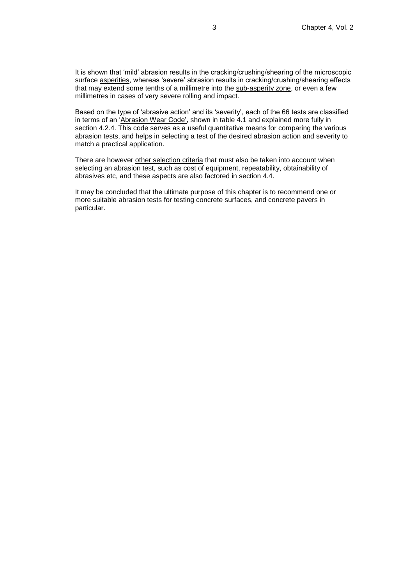It is shown that 'mild' abrasion results in the cracking/crushing/shearing of the microscopic surface asperities, whereas 'severe' abrasion results in cracking/crushing/shearing effects that may extend some tenths of a millimetre into the sub-asperity zone, or even a few millimetres in cases of very severe rolling and impact.

Based on the type of 'abrasive action' and its 'severity', each of the 66 tests are classified in terms of an 'Abrasion Wear Code', shown in table 4.1 and explained more fully in section 4.2.4. This code serves as a useful quantitative means for comparing the various abrasion tests, and helps in selecting a test of the desired abrasion action and severity to match a practical application.

There are however other selection criteria that must also be taken into account when selecting an abrasion test, such as cost of equipment, repeatability, obtainability of abrasives etc, and these aspects are also factored in section 4.4.

It may be concluded that the ultimate purpose of this chapter is to recommend one or more suitable abrasion tests for testing concrete surfaces, and concrete pavers in particular.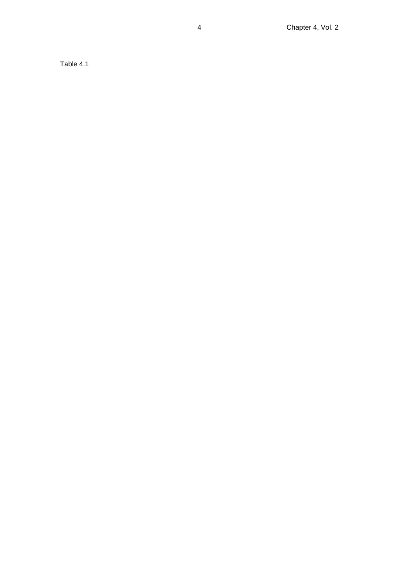Table 4.1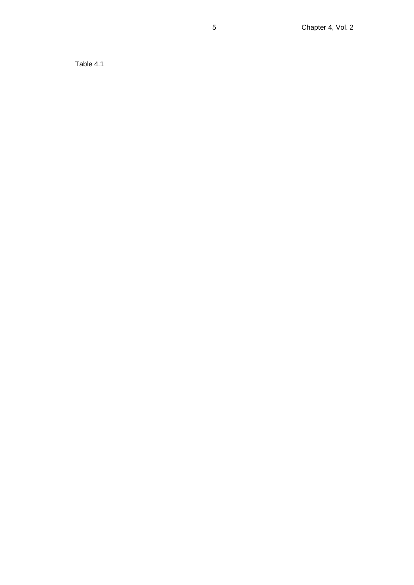Table 4.1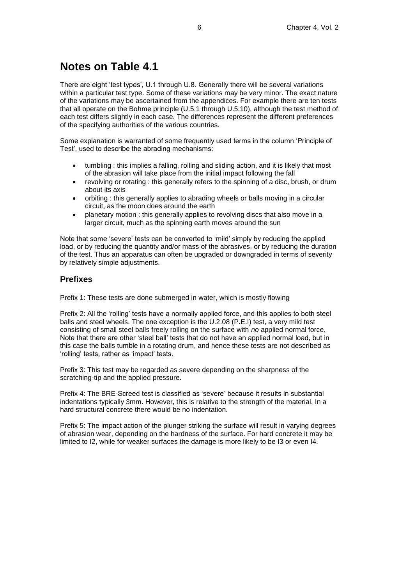### **Notes on Table 4.1**

There are eight 'test types', U.1 through U.8. Generally there will be several variations within a particular test type. Some of these variations may be very minor. The exact nature of the variations may be ascertained from the appendices. For example there are ten tests that all operate on the Bohme principle (U.5.1 through U.5.10), although the test method of each test differs slightly in each case. The differences represent the different preferences of the specifying authorities of the various countries.

Some explanation is warranted of some frequently used terms in the column 'Principle of Test', used to describe the abrading mechanisms:

- tumbling : this implies a falling, rolling and sliding action, and it is likely that most of the abrasion will take place from the initial impact following the fall
- revolving or rotating : this generally refers to the spinning of a disc, brush, or drum about its axis
- orbiting : this generally applies to abrading wheels or balls moving in a circular circuit, as the moon does around the earth
- planetary motion : this generally applies to revolving discs that also move in a larger circuit, much as the spinning earth moves around the sun

Note that some 'severe' tests can be converted to 'mild' simply by reducing the applied load, or by reducing the quantity and/or mass of the abrasives, or by reducing the duration of the test. Thus an apparatus can often be upgraded or downgraded in terms of severity by relatively simple adjustments.

#### **Prefixes**

Prefix 1: These tests are done submerged in water, which is mostly flowing

Prefix 2: All the 'rolling' tests have a normally applied force, and this applies to both steel balls and steel wheels. The one exception is the U.2.08 (P.E.I) test, a very mild test consisting of small steel balls freely rolling on the surface with *no* applied normal force. Note that there are other 'steel ball' tests that do not have an applied normal load, but in this case the balls tumble in a rotating drum, and hence these tests are not described as 'rolling' tests, rather as 'impact' tests.

Prefix 3: This test may be regarded as severe depending on the sharpness of the scratching-tip and the applied pressure.

Prefix 4: The BRE-Screed test is classified as 'severe' because it results in substantial indentations typically 3mm. However, this is relative to the strength of the material. In a hard structural concrete there would be no indentation.

Prefix 5: The impact action of the plunger striking the surface will result in varying degrees of abrasion wear, depending on the hardness of the surface. For hard concrete it may be limited to I2, while for weaker surfaces the damage is more likely to be I3 or even I4.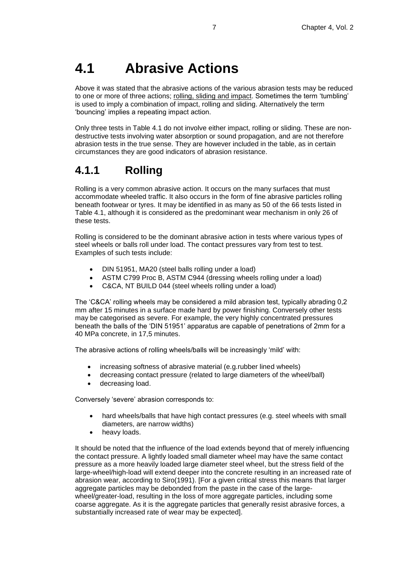# **4.1 Abrasive Actions**

Above it was stated that the abrasive actions of the various abrasion tests may be reduced to one or more of three actions; rolling, sliding and impact. Sometimes the term 'tumbling' is used to imply a combination of impact, rolling and sliding. Alternatively the term 'bouncing' implies a repeating impact action.

Only three tests in Table 4.1 do not involve either impact, rolling or sliding. These are nondestructive tests involving water absorption or sound propagation, and are not therefore abrasion tests in the true sense. They are however included in the table, as in certain circumstances they are good indicators of abrasion resistance.

## **4.1.1 Rolling**

Rolling is a very common abrasive action. It occurs on the many surfaces that must accommodate wheeled traffic. It also occurs in the form of fine abrasive particles rolling beneath footwear or tyres. It may be identified in as many as 50 of the 66 tests listed in Table 4.1, although it is considered as the predominant wear mechanism in only 26 of these tests.

Rolling is considered to be the dominant abrasive action in tests where various types of steel wheels or balls roll under load. The contact pressures vary from test to test. Examples of such tests include:

- DIN 51951, MA20 (steel balls rolling under a load)
- ASTM C799 Proc B, ASTM C944 (dressing wheels rolling under a load)
- C&CA, NT BUILD 044 (steel wheels rolling under a load)

The 'C&CA' rolling wheels may be considered a mild abrasion test, typically abrading 0,2 mm after 15 minutes in a surface made hard by power finishing. Conversely other tests may be categorised as severe. For example, the very highly concentrated pressures beneath the balls of the 'DIN 51951' apparatus are capable of penetrations of 2mm for a 40 MPa concrete, in 17,5 minutes.

The abrasive actions of rolling wheels/balls will be increasingly 'mild' with:

- increasing softness of abrasive material (e.g.rubber lined wheels)
- decreasing contact pressure (related to large diameters of the wheel/ball)
- decreasing load.

Conversely 'severe' abrasion corresponds to:

- hard wheels/balls that have high contact pressures (e.g. steel wheels with small diameters, are narrow widths)
- heavy loads.

It should be noted that the influence of the load extends beyond that of merely influencing the contact pressure. A lightly loaded small diameter wheel may have the same contact pressure as a more heavily loaded large diameter steel wheel, but the stress field of the large-wheel/high-load will extend deeper into the concrete resulting in an increased rate of abrasion wear, according to Siro(1991). [For a given critical stress this means that larger aggregate particles may be debonded from the paste in the case of the largewheel/greater-load, resulting in the loss of more aggregate particles, including some coarse aggregate. As it is the aggregate particles that generally resist abrasive forces, a substantially increased rate of wear may be expected].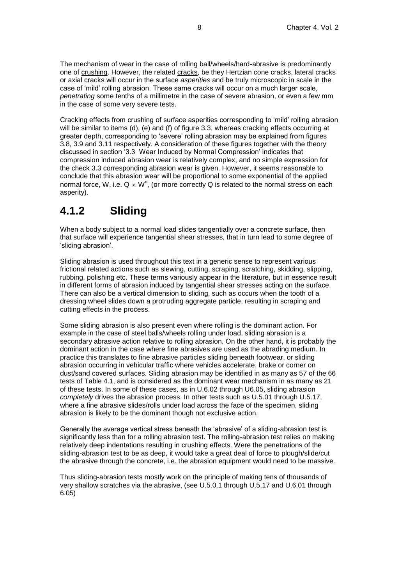The mechanism of wear in the case of rolling ball/wheels/hard-abrasive is predominantly one of crushing. However, the related cracks, be they Hertzian cone cracks, lateral cracks or axial cracks will occur in the surface *asperities* and be truly microscopic in scale in the case of 'mild' rolling abrasion. These same cracks will occur on a much larger scale, *penetrating* some tenths of a millimetre in the case of severe abrasion, or even a few mm in the case of some very severe tests.

Cracking effects from crushing of surface asperities corresponding to 'mild' rolling abrasion will be similar to items (d), (e) and (f) of figure 3.3, whereas cracking effects occurring at greater depth, corresponding to 'severe' rolling abrasion may be explained from figures 3.8, 3.9 and 3.11 respectively. A consideration of these figures together with the theory discussed in section '3.3 Wear Induced by Normal Compression' indicates that compression induced abrasion wear is relatively complex, and no simple expression for the check 3.3 corresponding abrasion wear is given. However, it seems reasonable to conclude that this abrasion wear will be proportional to some exponential of the applied normal force, W, i.e. Q  $\propto$  W<sup>n</sup>, (or more correctly Q is related to the normal stress on each asperity).

## **4.1.2 Sliding**

When a body subject to a normal load slides tangentially over a concrete surface, then that surface will experience tangential shear stresses, that in turn lead to some degree of 'sliding abrasion'.

Sliding abrasion is used throughout this text in a generic sense to represent various frictional related actions such as slewing, cutting, scraping, scratching, skidding, slipping, rubbing, polishing etc. These terms variously appear in the literature, but in essence result in different forms of abrasion induced by tangential shear stresses acting on the surface. There can also be a vertical dimension to sliding, such as occurs when the tooth of a dressing wheel slides down a protruding aggregate particle, resulting in scraping and cutting effects in the process.

Some sliding abrasion is also present even where rolling is the dominant action. For example in the case of steel balls/wheels rolling under load, sliding abrasion is a secondary abrasive action relative to rolling abrasion. On the other hand, it is probably the dominant action in the case where fine abrasives are used as the abrading medium. In practice this translates to fine abrasive particles sliding beneath footwear, or sliding abrasion occurring in vehicular traffic where vehicles accelerate, brake or corner on dust/sand covered surfaces. Sliding abrasion may be identified in as many as 57 of the 66 tests of Table 4.1, and is considered as the dominant wear mechanism in as many as 21 of these tests. In some of these cases, as in U.6.02 through U6.05, sliding abrasion *completely* drives the abrasion process. In other tests such as U.5.01 through U.5.17, where a fine abrasive slides/rolls under load across the face of the specimen, sliding abrasion is likely to be the dominant though not exclusive action.

Generally the average vertical stress beneath the 'abrasive' of a sliding-abrasion test is significantly less than for a rolling abrasion test. The rolling-abrasion test relies on making relatively deep indentations resulting in crushing effects. Were the penetrations of the sliding-abrasion test to be as deep, it would take a great deal of force to plough/slide/cut the abrasive through the concrete, i.e. the abrasion equipment would need to be massive.

Thus sliding-abrasion tests mostly work on the principle of making tens of thousands of very shallow scratches via the abrasive, (see U.5.0.1 through U.5.17 and U.6.01 through 6.05)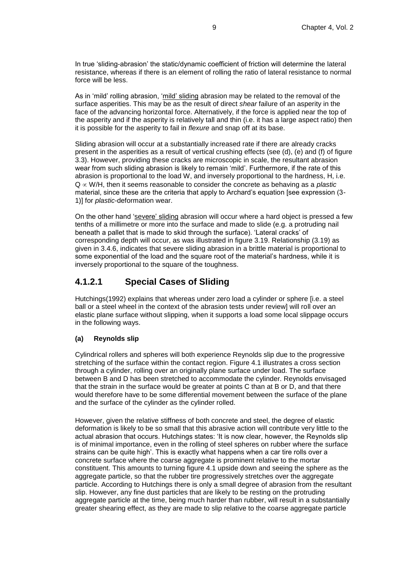In true 'sliding-abrasion' the static/dynamic coefficient of friction will determine the lateral resistance, whereas if there is an element of rolling the ratio of lateral resistance to normal force will be less.

As in 'mild' rolling abrasion, 'mild' sliding abrasion may be related to the removal of the surface asperities. This may be as the result of direct *shear* failure of an asperity in the face of the advancing horizontal force. Alternatively, if the force is applied near the top of the asperity and if the asperity is relatively tall and thin (i.e. it has a large aspect ratio) then it is possible for the asperity to fail in *flexure* and snap off at its base.

Sliding abrasion will occur at a substantially increased rate if there are already cracks present in the asperities as a result of vertical crushing effects (see (d), (e) and (f) of figure 3.3). However, providing these cracks are microscopic in scale, the resultant abrasion wear from such sliding abrasion is likely to remain 'mild'. Furthermore, if the rate of this abrasion is proportional to the load W, and inversely proportional to the hardness, H, i.e. Q W/H, then it seems reasonable to consider the concrete as behaving as a *plastic* material, since these are the criteria that apply to Archard's equation [see expression (3- 1)] for *plastic*-deformation wear.

On the other hand 'severe' sliding abrasion will occur where a hard object is pressed a few tenths of a millimetre or more into the surface and made to slide (e.g. a protruding nail beneath a pallet that is made to skid through the surface). 'Lateral cracks' of corresponding depth will occur, as was illustrated in figure 3.19. Relationship (3.19) as given in 3.4.6, indicates that severe sliding abrasion in a brittle material is proportional to some exponential of the load and the square root of the material's hardness, while it is inversely proportional to the square of the toughness.

#### **4.1.2.1 Special Cases of Sliding**

Hutchings(1992) explains that whereas under zero load a cylinder or sphere [i.e. a steel ball or a steel wheel in the context of the abrasion tests under review] will roll over an elastic plane surface without slipping, when it supports a load some local slippage occurs in the following ways.

#### **(a) Reynolds slip**

Cylindrical rollers and spheres will both experience Reynolds slip due to the progressive stretching of the surface within the contact region. Figure 4.1 illustrates a cross section through a cylinder, rolling over an originally plane surface under load. The surface between B and D has been stretched to accommodate the cylinder. Reynolds envisaged that the strain in the surface would be greater at points C than at B or D, and that there would therefore have to be some differential movement between the surface of the plane and the surface of the cylinder as the cylinder rolled.

However, given the relative stiffness of both concrete and steel, the degree of elastic deformation is likely to be so small that this abrasive action will contribute very little to the actual abrasion that occurs. Hutchings states: 'It is now clear, however, the Reynolds slip is of minimal importance, even in the rolling of steel spheres on rubber where the surface strains can be quite high'. This is exactly what happens when a car tire rolls over a concrete surface where the coarse aggregate is prominent relative to the mortar constituent. This amounts to turning figure 4.1 upside down and seeing the sphere as the aggregate particle, so that the rubber tire progressively stretches over the aggregate particle. According to Hutchings there is only a small degree of abrasion from the resultant slip. However, any fine dust particles that are likely to be resting on the protruding aggregate particle at the time, being much harder than rubber, will result in a substantially greater shearing effect, as they are made to slip relative to the coarse aggregate particle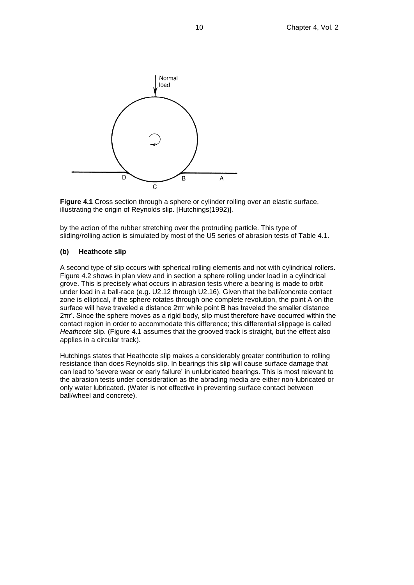

**Figure 4.1** Cross section through a sphere or cylinder rolling over an elastic surface, illustrating the origin of Reynolds slip. [Hutchings(1992)].

by the action of the rubber stretching over the protruding particle. This type of sliding/rolling action is simulated by most of the U5 series of abrasion tests of Table 4.1.

#### **(b) Heathcote slip**

A second type of slip occurs with spherical rolling elements and not with cylindrical rollers. Figure 4.2 shows in plan view and in section a sphere rolling under load in a cylindrical grove. This is precisely what occurs in abrasion tests where a bearing is made to orbit under load in a ball-race (e.g. U2.12 through U2.16). Given that the ball/concrete contact zone is elliptical, if the sphere rotates through one complete revolution, the point A on the surface will have traveled a distance 2πr while point B has traveled the smaller distance 2πr'. Since the sphere moves as a rigid body, slip must therefore have occurred within the contact region in order to accommodate this difference; this differential slippage is called *Heathcote* slip. (Figure 4.1 assumes that the grooved track is straight, but the effect also applies in a circular track).

Hutchings states that Heathcote slip makes a considerably greater contribution to rolling resistance than does Reynolds slip. In bearings this slip will cause surface damage that can lead to 'severe wear or early failure' in unlubricated bearings. This is most relevant to the abrasion tests under consideration as the abrading media are either non-lubricated or only water lubricated. (Water is not effective in preventing surface contact between ball/wheel and concrete).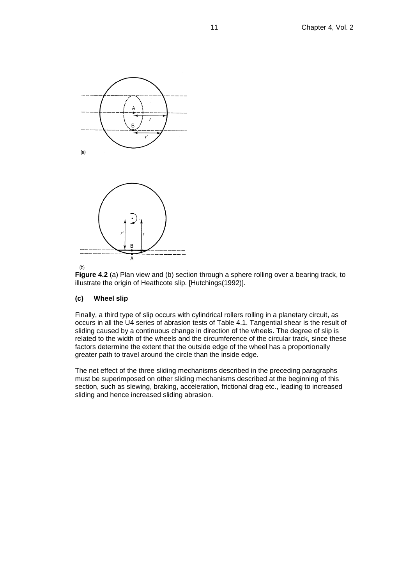

**Figure 4.2** (a) Plan view and (b) section through a sphere rolling over a bearing track, to illustrate the origin of Heathcote slip. [Hutchings(1992)].

#### **(c) Wheel slip**

Finally, a third type of slip occurs with cylindrical rollers rolling in a planetary circuit, as occurs in all the U4 series of abrasion tests of Table 4.1. Tangential shear is the result of sliding caused by a continuous change in direction of the wheels. The degree of slip is related to the width of the wheels and the circumference of the circular track, since these factors determine the extent that the outside edge of the wheel has a proportionally greater path to travel around the circle than the inside edge.

The net effect of the three sliding mechanisms described in the preceding paragraphs must be superimposed on other sliding mechanisms described at the beginning of this section, such as slewing, braking, acceleration, frictional drag etc., leading to increased sliding and hence increased sliding abrasion.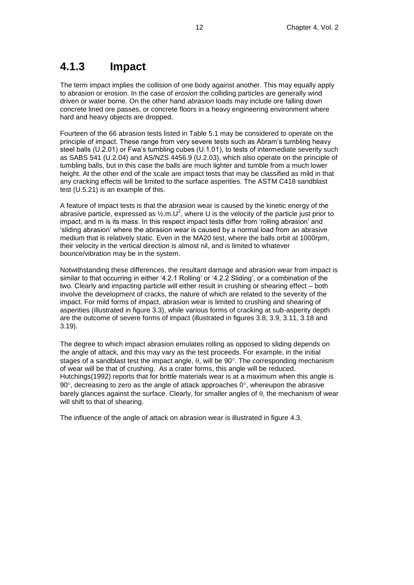### **4.1.3 Impact**

The term impact implies the collision of one body against another. This may equally apply to abrasion or erosion. In the case of *erosion* the colliding particles are generally wind driven or water borne. On the other hand *abrasion* loads may include ore falling down concrete lined ore passes, or concrete floors in a heavy engineering environment where hard and heavy objects are dropped.

Fourteen of the 66 abrasion tests listed in Table 5.1 may be considered to operate on the principle of impact. These range from very severe tests such as Abram's tumbling heavy steel balls (U.2.01) or Fwa's tumbling cubes (U.1.01), to tests of intermediate severity such as SABS 541 (U.2.04) and AS/NZS 4456.9 (U.2.03), which also operate on the principle of tumbling balls, but in this case the balls are much lighter and tumble from a much lower height. At the other end of the scale are impact tests that may be classified as mild in that any cracking effects will be limited to the surface asperities. The ASTM C418 sandblast test (U.5.21) is an example of this.

A feature of impact tests is that the abrasion wear is caused by the kinetic energy of the abrasive particle, expressed as  $\frac{1}{2}$ .m.U<sup>2</sup>, where U is the velocity of the particle just prior to impact, and m is its mass. In this respect impact tests differ from 'rolling abrasion' and 'sliding abrasion' where the abrasion wear is caused by a normal load from an abrasive medium that is relatively static. Even in the MA20 test, where the balls orbit at 1000rpm, their velocity in the vertical direction is almost nil, and is limited to whatever bounce/vibration may be in the system.

Notwithstanding these differences, the resultant damage and abrasion wear from impact is similar to that occurring in either '4.2.1 Rolling' or '4.2.2 Sliding', or a combination of the two. Clearly and impacting particle will either result in crushing or shearing effect – both involve the development of cracks, the nature of which are related to the severity of the impact. For mild forms of impact, abrasion wear is limited to crushing and shearing of asperities (illustrated in figure 3.3), while various forms of cracking at sub-asperity depth are the outcome of severe forms of impact (illustrated in figures 3.8, 3.9, 3.11, 3.18 and 3.19).

The degree to which impact abrasion emulates rolling as opposed to sliding depends on the angle of attack, and this may vary as the test proceeds. For example, in the initial stages of a sandblast test the impact angle,  $\theta$ , will be 90 $\degree$ . The corresponding mechanism of wear will be that of crushing. As a crater forms, this angle will be reduced. Hutchings(1992) reports that for brittle materials wear is at a maximum when this angle is 90 $^{\circ}$ , decreasing to zero as the angle of attack approaches 0 $^{\circ}$ , whereupon the abrasive barely glances against the surface. Clearly, for smaller angles of  $\theta$ , the mechanism of wear will shift to that of shearing.

The influence of the angle of attack on abrasion wear is illustrated in figure 4.3.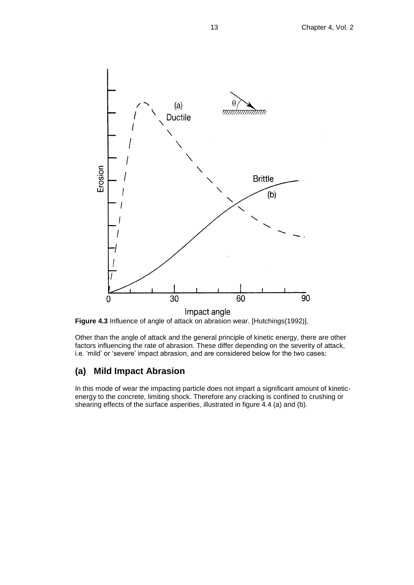

**Figure 4.3** Influence of angle of attack on abrasion wear. [Hutchings(1992)].

Other than the angle of attack and the general principle of kinetic energy, there are other factors influencing the rate of abrasion. These differ depending on the severity of attack, i.e. 'mild' or 'severe' impact abrasion, and are considered below for the two cases:

#### **(a) Mild Impact Abrasion**

In this mode of wear the impacting particle does not impart a significant amount of kineticenergy to the concrete, limiting shock. Therefore any cracking is confined to crushing or shearing effects of the surface asperities, illustrated in figure 4.4 (a) and (b).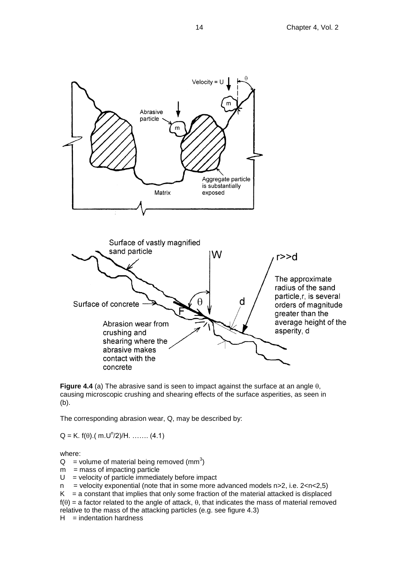

**Figure 4.4** (a) The abrasive sand is seen to impact against the surface at an angle  $\theta$ . causing microscopic crushing and shearing effects of the surface asperities, as seen in (b).

The corresponding abrasion wear, Q, may be described by:

 $Q = K. f(\theta) . (m.U^{\eta}/2)/H. \dots (4.1)$ 

where:

- $Q =$  volume of material being removed (mm<sup>3</sup>)
- $m =$  mass of impacting particle
- $U =$  velocity of particle immediately before impact
- n = velocity exponential (note that in some more advanced models  $n>2$ , i.e.  $2)$
- $K = a$  constant that implies that only some fraction of the material attacked is displaced  $f(\theta)$  = a factor related to the angle of attack,  $\theta$ , that indicates the mass of material removed relative to the mass of the attacking particles (e.g. see figure 4.3)
- $H =$  indentation hardness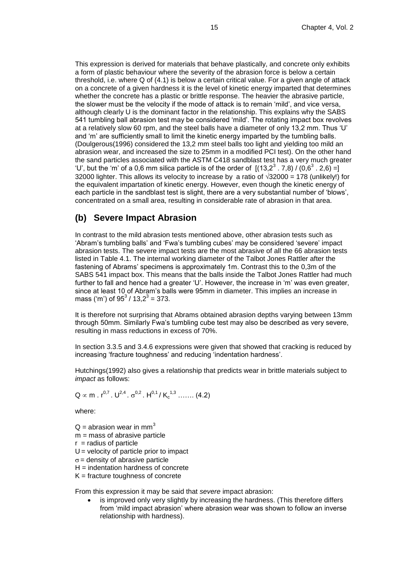This expression is derived for materials that behave plastically, and concrete only exhibits a form of plastic behaviour where the severity of the abrasion force is below a certain threshold, i.e. where Q of (4.1) is below a certain critical value. For a given angle of attack on a concrete of a given hardness it is the level of kinetic energy imparted that determines whether the concrete has a plastic or brittle response. The heavier the abrasive particle, the slower must be the velocity if the mode of attack is to remain 'mild', and vice versa, although clearly U is the dominant factor in the relationship. This explains why the SABS 541 tumbling ball abrasion test may be considered 'mild'. The rotating impact box revolves at a relatively slow 60 rpm, and the steel balls have a diameter of only 13,2 mm. Thus 'U' and 'm' are sufficiently small to limit the kinetic energy imparted by the tumbling balls. (Doulgerous(1996) considered the 13,2 mm steel balls too light and yielding too mild an abrasion wear, and increased the size to 25mm in a modified PCI test). On the other hand the sand particles associated with the ASTM C418 sandblast test has a very much greater 'U', but the 'm' of a 0,6 mm silica particle is of the order of  $[(13,2^3 \cdot 7,8) / (0,6^3 \cdot 2,6) =]$ 32000 lighter. This allows its velocity to increase by a ratio of  $\sqrt{32000} = 178$  (unlikely!) for the equivalent impartation of kinetic energy. However, even though the kinetic energy of each particle in the sandblast test is slight, there are a very substantial number of 'blows', concentrated on a small area, resulting in considerable rate of abrasion in that area.

#### **(b) Severe Impact Abrasion**

In contrast to the mild abrasion tests mentioned above, other abrasion tests such as 'Abram's tumbling balls' and 'Fwa's tumbling cubes' may be considered 'severe' impact abrasion tests. The severe impact tests are the most abrasive of all the 66 abrasion tests listed in Table 4.1. The internal working diameter of the Talbot Jones Rattler after the fastening of Abrams' specimens is approximately 1m. Contrast this to the 0,3m of the SABS 541 impact box. This means that the balls inside the Talbot Jones Rattler had much further to fall and hence had a greater 'U'. However, the increase in 'm' was even greater, since at least 10 of Abram's balls were 95mm in diameter. This implies an increase in mass ('m') of  $95^3 / 13,2^3 = 373$ .

It is therefore not surprising that Abrams obtained abrasion depths varying between 13mm through 50mm. Similarly Fwa's tumbling cube test may also be described as very severe, resulting in mass reductions in excess of 70%.

In section 3.3.5 and 3.4.6 expressions were given that showed that cracking is reduced by increasing 'fracture toughness' and reducing 'indentation hardness'.

Hutchings(1992) also gives a relationship that predicts wear in brittle materials subject to *impact* as follows:

$$
Q \propto m \ . \ r^{0,7} \ . \ U^{2,4} \ . \ \sigma^{0,2} \ . \ H^{0,1} \ / \ K_c^{1,3} \ . \ldots \ldots \ . \ (4.2)
$$

where:

 $Q =$  abrasion wear in mm<sup>3</sup>

- $m =$  mass of abrasive particle
- r = radius of particle
- $U =$  velocity of particle prior to impact
- $\sigma$  = density of abrasive particle
- $H =$  indentation hardness of concrete
- $K =$  fracture toughness of concrete

From this expression it may be said that *severe* impact abrasion:

 is improved only very slightly by increasing the hardness. (This therefore differs from 'mild impact abrasion' where abrasion wear was shown to follow an inverse relationship with hardness).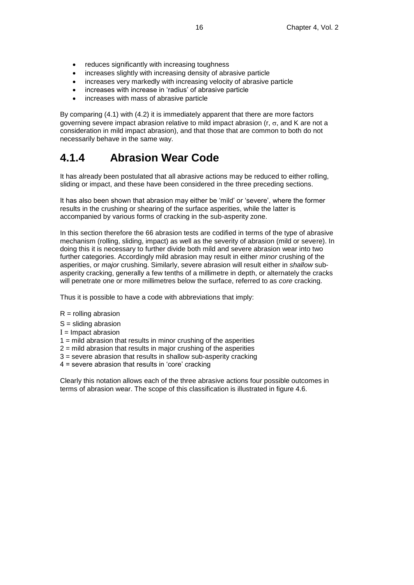- reduces significantly with increasing toughness
- increases slightly with increasing density of abrasive particle
- increases very markedly with increasing velocity of abrasive particle
- increases with increase in 'radius' of abrasive particle
- increases with mass of abrasive particle

By comparing (4.1) with (4.2) it is immediately apparent that there are more factors governing severe impact abrasion relative to mild impact abrasion ( $r$ ,  $\sigma$ , and K are not a consideration in mild impact abrasion), and that those that are common to both do not necessarily behave in the same way.

## **4.1.4 Abrasion Wear Code**

It has already been postulated that all abrasive actions may be reduced to either rolling, sliding or impact, and these have been considered in the three preceding sections.

It has also been shown that abrasion may either be 'mild' or 'severe', where the former results in the crushing or shearing of the surface asperities, while the latter is accompanied by various forms of cracking in the sub-asperity zone.

In this section therefore the 66 abrasion tests are codified in terms of the type of abrasive mechanism (rolling, sliding, impact) as well as the severity of abrasion (mild or severe). In doing this it is necessary to further divide both mild and severe abrasion wear into two further categories. Accordingly mild abrasion may result in either *minor* crushing of the asperities, or *major* crushing. Similarly, severe abrasion will result either in *shallow* subasperity cracking, generally a few tenths of a millimetre in depth, or alternately the cracks will penetrate one or more millimetres below the surface, referred to as *core* cracking.

Thus it is possible to have a code with abbreviations that imply:

- $R =$  rolling abrasion
- S = sliding abrasion
- $I =$ Impact abrasion
- 1 = mild abrasion that results in minor crushing of the asperities
- $2$  = mild abrasion that results in major crushing of the asperities
- 3 = severe abrasion that results in shallow sub-asperity cracking
- 4 = severe abrasion that results in 'core' cracking

Clearly this notation allows each of the three abrasive actions four possible outcomes in terms of abrasion wear. The scope of this classification is illustrated in figure 4.6.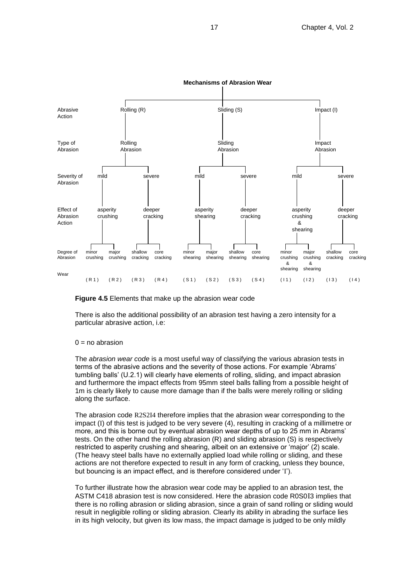

#### **Figure 4.5** Elements that make up the abrasion wear code

There is also the additional possibility of an abrasion test having a zero intensity for a particular abrasive action, i.e:

#### $0 = no$  abrasion

The *abrasion wear code* is a most useful way of classifying the various abrasion tests in terms of the abrasive actions and the severity of those actions. For example 'Abrams' tumbling balls' (U.2.1) will clearly have elements of rolling, sliding, and impact abrasion and furthermore the impact effects from 95mm steel balls falling from a possible height of 1m is clearly likely to cause more damage than if the balls were merely rolling or sliding along the surface.

The abrasion code R2S2I4 therefore implies that the abrasion wear corresponding to the impact (I) of this test is judged to be very severe (4), resulting in cracking of a millimetre or more, and this is borne out by eventual abrasion wear depths of up to 25 mm in Abrams' tests. On the other hand the rolling abrasion (R) and sliding abrasion (S) is respectively restricted to asperity crushing and shearing, albeit on an extensive or 'major' (2) scale. (The heavy steel balls have no externally applied load while rolling or sliding, and these actions are not therefore expected to result in any form of cracking, unless they bounce, but bouncing is an impact effect, and is therefore considered under 'I').

To further illustrate how the abrasion wear code may be applied to an abrasion test, the ASTM C418 abrasion test is now considered. Here the abrasion code R0S0I3 implies that there is no rolling abrasion or sliding abrasion, since a grain of sand rolling or sliding would result in negligible rolling or sliding abrasion. Clearly its ability in abrading the surface lies in its high velocity, but given its low mass, the impact damage is judged to be only mildly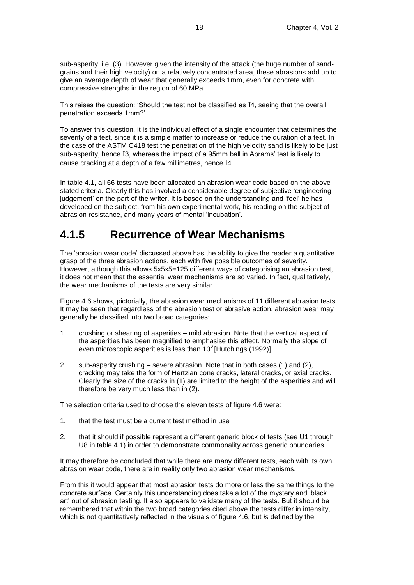sub-asperity, i.e (3). However given the intensity of the attack (the huge number of sandgrains and their high velocity) on a relatively concentrated area, these abrasions add up to give an average depth of wear that generally exceeds 1mm, even for concrete with compressive strengths in the region of 60 MPa.

This raises the question: 'Should the test not be classified as I4, seeing that the overall penetration exceeds 1mm?'

To answer this question, it is the individual effect of a single encounter that determines the severity of a test, since it is a simple matter to increase or reduce the duration of a test. In the case of the ASTM C418 test the penetration of the high velocity sand is likely to be just sub-asperity, hence I3, whereas the impact of a 95mm ball in Abrams' test is likely to cause cracking at a depth of a few millimetres, hence I4.

In table 4.1, all 66 tests have been allocated an abrasion wear code based on the above stated criteria. Clearly this has involved a considerable degree of subjective 'engineering judgement' on the part of the writer. It is based on the understanding and 'feel' he has developed on the subject, from his own experimental work, his reading on the subject of abrasion resistance, and many years of mental 'incubation'.

### **4.1.5 Recurrence of Wear Mechanisms**

The 'abrasion wear code' discussed above has the ability to give the reader a quantitative grasp of the three abrasion actions, each with five possible outcomes of severity. However, although this allows 5x5x5=125 different ways of categorising an abrasion test, it does not mean that the essential wear mechanisms are so varied. In fact, qualitatively, the wear mechanisms of the tests are very similar.

Figure 4.6 shows, pictorially, the abrasion wear mechanisms of 11 different abrasion tests. It may be seen that regardless of the abrasion test or abrasive action, abrasion wear may generally be classified into two broad categories:

- 1. crushing or shearing of asperities mild abrasion. Note that the vertical aspect of the asperities has been magnified to emphasise this effect. Normally the slope of even microscopic asperities is less than  $10^{\circ}$  [Hutchings (1992)].
- 2. sub-asperity crushing severe abrasion. Note that in both cases (1) and (2), cracking may take the form of Hertzian cone cracks, lateral cracks, or axial cracks. Clearly the size of the cracks in (1) are limited to the height of the asperities and will therefore be very much less than in (2).

The selection criteria used to choose the eleven tests of figure 4.6 were:

- 1. that the test must be a current test method in use
- 2. that it should if possible represent a different generic block of tests (see U1 through U8 in table 4.1) in order to demonstrate commonality across generic boundaries

It may therefore be concluded that while there are many different tests, each with its own abrasion wear code, there are in reality only two abrasion wear mechanisms.

From this it would appear that most abrasion tests do more or less the same things to the concrete surface. Certainly this understanding does take a lot of the mystery and 'black art' out of abrasion testing. It also appears to validate many of the tests. But it should be remembered that within the two broad categories cited above the tests differ in intensity, which is not quantitatively reflected in the visuals of figure 4.6, but *is* defined by the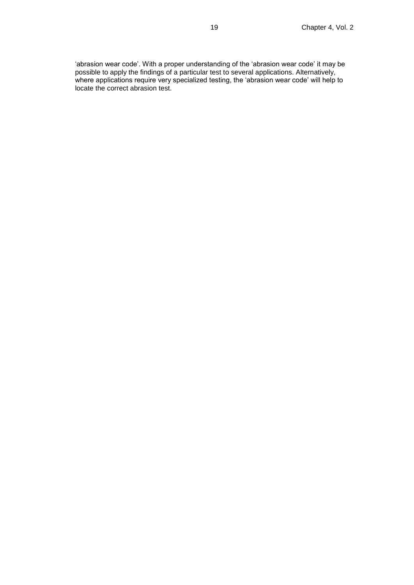'abrasion wear code'. With a proper understanding of the 'abrasion wear code' it may be possible to apply the findings of a particular test to several applications. Alternatively, where applications require very specialized testing, the 'abrasion wear code' will help to locate the correct abrasion test.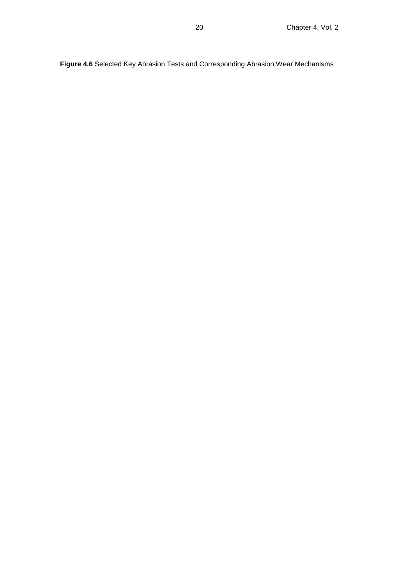**Figure 4.6** Selected Key Abrasion Tests and Corresponding Abrasion Wear Mechanisms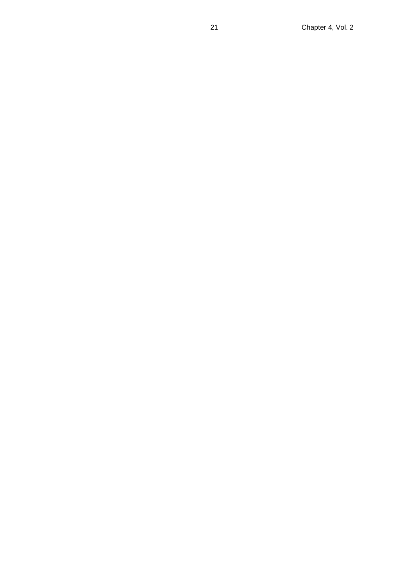Chapter 4, Vol. 2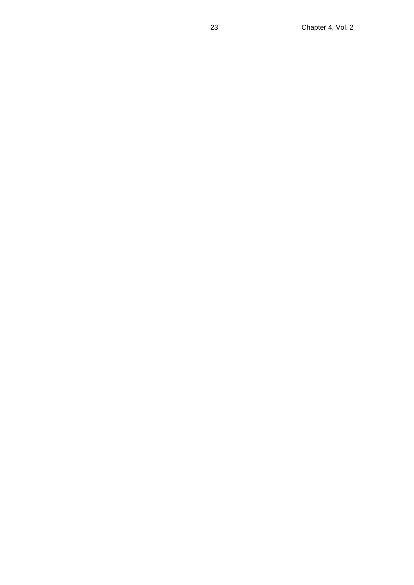Chapter 4, Vol. 2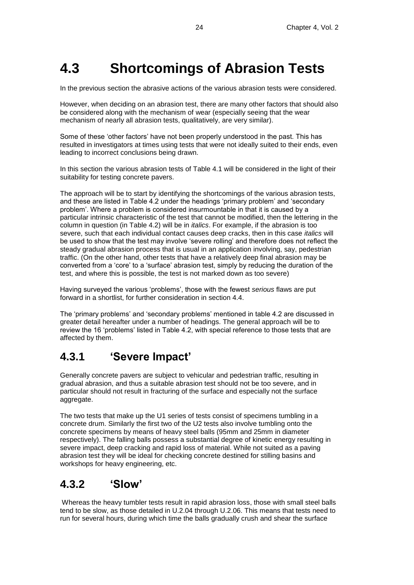# **4.3 Shortcomings of Abrasion Tests**

In the previous section the abrasive actions of the various abrasion tests were considered.

However, when deciding on an abrasion test, there are many other factors that should also be considered along with the mechanism of wear (especially seeing that the wear mechanism of nearly all abrasion tests, qualitatively, are very similar).

Some of these 'other factors' have not been properly understood in the past. This has resulted in investigators at times using tests that were not ideally suited to their ends, even leading to incorrect conclusions being drawn.

In this section the various abrasion tests of Table 4.1 will be considered in the light of their suitability for testing concrete pavers.

The approach will be to start by identifying the shortcomings of the various abrasion tests, and these are listed in Table 4.2 under the headings 'primary problem' and 'secondary problem'. Where a problem is considered insurmountable in that it is caused by a particular intrinsic characteristic of the test that cannot be modified, then the lettering in the column in question (in Table 4.2) will be in *italics*. For example, if the abrasion is too severe, such that each individual contact causes deep cracks, then in this case *italics* will be used to show that the test may involve 'severe rolling' and therefore does not reflect the steady gradual abrasion process that is usual in an application involving, say, pedestrian traffic. (On the other hand, other tests that have a relatively deep final abrasion may be converted from a 'core' to a 'surface' abrasion test, simply by reducing the duration of the test, and where this is possible, the test is not marked down as too severe)

Having surveyed the various 'problems', those with the fewest *serious* flaws are put forward in a shortlist, for further consideration in section 4.4.

The 'primary problems' and 'secondary problems' mentioned in table 4.2 are discussed in greater detail hereafter under a number of headings. The general approach will be to review the 16 'problems' listed in Table 4.2, with special reference to those tests that are affected by them.

### **4.3.1 'Severe Impact'**

Generally concrete pavers are subject to vehicular and pedestrian traffic, resulting in gradual abrasion, and thus a suitable abrasion test should not be too severe, and in particular should not result in fracturing of the surface and especially not the surface aggregate.

The two tests that make up the U1 series of tests consist of specimens tumbling in a concrete drum. Similarly the first two of the U2 tests also involve tumbling onto the concrete specimens by means of heavy steel balls (95mm and 25mm in diameter respectively). The falling balls possess a substantial degree of kinetic energy resulting in severe impact, deep cracking and rapid loss of material. While not suited as a paving abrasion test they will be ideal for checking concrete destined for stilling basins and workshops for heavy engineering, etc.

### **4.3.2 'Slow'**

Whereas the heavy tumbler tests result in rapid abrasion loss, those with small steel balls tend to be slow, as those detailed in U.2.04 through U.2.06. This means that tests need to run for several hours, during which time the balls gradually crush and shear the surface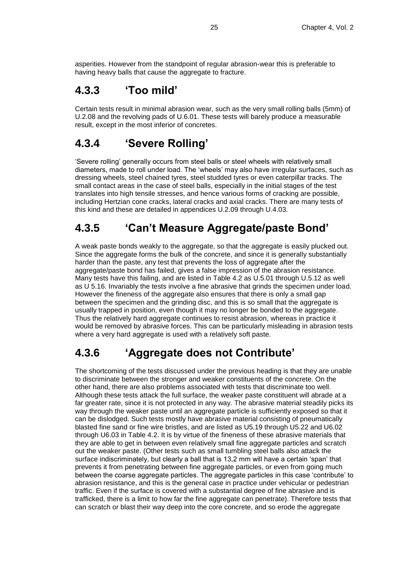asperities. However from the standpoint of regular abrasion-wear this is preferable to having heavy balls that cause the aggregate to fracture.

## **4.3.3 'Too mild'**

Certain tests result in minimal abrasion wear, such as the very small rolling balls (5mm) of U.2.08 and the revolving pads of U.6.01. These tests will barely produce a measurable result, except in the most inferior of concretes.

## **4.3.4 'Severe Rolling'**

'Severe rolling' generally occurs from steel balls or steel wheels with relatively small diameters, made to roll under load. The 'wheels' may also have irregular surfaces, such as dressing wheels, steel chained tyres, steel studded tyres or even caterpillar tracks. The small contact areas in the case of steel balls, especially in the initial stages of the test translates into high tensile stresses, and hence various forms of cracking are possible, including Hertzian cone cracks, lateral cracks and axial cracks. There are many tests of this kind and these are detailed in appendices U.2.09 through U.4.03.

## **4.3.5 'Can't Measure Aggregate/paste Bond'**

A weak paste bonds weakly to the aggregate, so that the aggregate is easily plucked out. Since the aggregate forms the bulk of the concrete, and since it is generally substantially harder than the paste, any test that prevents the loss of aggregate after the aggregate/paste bond has failed, gives a false impression of the abrasion resistance. Many tests have this failing, and are listed in Table 4.2 as U.5.01 through U.5.12 as well as U 5.16. Invariably the tests involve a fine abrasive that grinds the specimen under load. However the fineness of the aggregate also ensures that there is only a small gap between the specimen and the grinding disc, and this is so small that the aggregate is usually trapped in position, even though it may no longer be bonded to the aggregate. Thus the relatively hard aggregate continues to resist abrasion, whereas in practice it would be removed by abrasive forces. This can be particularly misleading in abrasion tests where a very hard aggregate is used with a relatively soft paste.

## **4.3.6 'Aggregate does not Contribute'**

The shortcoming of the tests discussed under the previous heading is that they are unable to discriminate between the stronger and weaker constituents of the concrete. On the other hand, there are also problems associated with tests that discriminate too well. Although these tests attack the full surface, the weaker paste constituent will abrade at a far greater rate, since it is not protected in any way. The abrasive material steadily picks its way through the weaker paste until an aggregate particle is sufficiently exposed so that it can be dislodged. Such tests mostly have abrasive material consisting of pneumatically blasted fine sand or fine wire bristles, and are listed as U5.19 through U5.22 and U6.02 through U6.03 in Table 4.2. It is by virtue of the fineness of these abrasive materials that they are able to get in between even relatively small fine aggregate particles and scratch out the weaker paste. (Other tests such as small tumbling steel balls also attack the surface indiscriminately, but clearly a ball that is 13,2 mm will have a certain 'span' that prevents it from penetrating between fine aggregate particles, or even from going much between the coarse aggregate particles. The aggregate particles in this case 'contribute' to abrasion resistance, and this is the general case in practice under vehicular or pedestrian traffic. Even if the surface is covered with a substantial degree of fine abrasive and is trafficked, there is a limit to how far the fine aggregate can penetrate). Therefore tests that can scratch or blast their way deep into the core concrete, and so erode the aggregate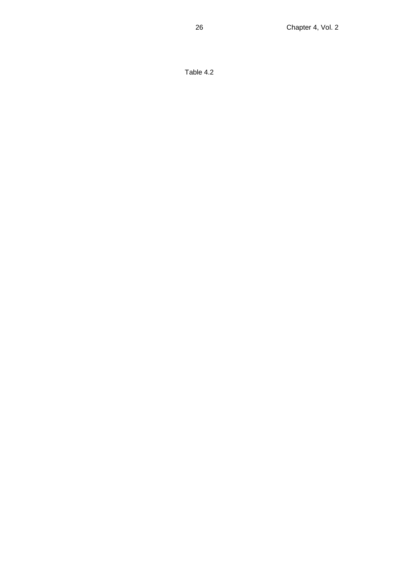Table 4.2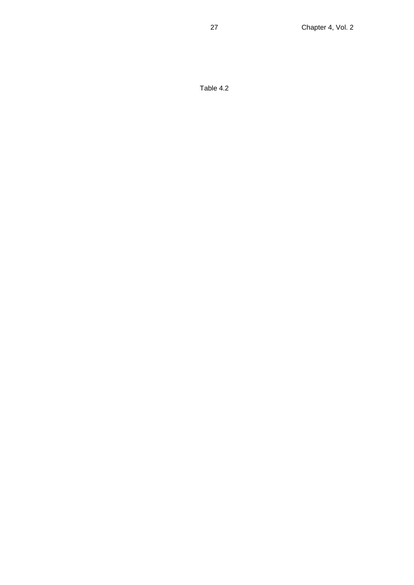Table 4.2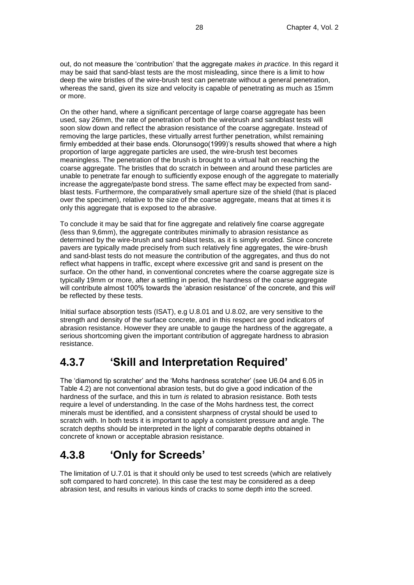out, do not measure the 'contribution' that the aggregate *makes in practice*. In this regard it may be said that sand-blast tests are the most misleading, since there is a limit to how deep the wire bristles of the wire-brush test can penetrate without a general penetration, whereas the sand, given its size and velocity is capable of penetrating as much as 15mm or more.

On the other hand, where a significant percentage of large coarse aggregate has been used, say 26mm, the rate of penetration of both the wirebrush and sandblast tests will soon slow down and reflect the abrasion resistance of the coarse aggregate. Instead of removing the large particles, these virtually arrest further penetration, whilst remaining firmly embedded at their base ends. Olorunsogo(1999)'s results showed that where a high proportion of large aggregate particles are used, the wire-brush test becomes meaningless. The penetration of the brush is brought to a virtual halt on reaching the coarse aggregate. The bristles that do scratch in between and around these particles are unable to penetrate far enough to sufficiently expose enough of the aggregate to materially increase the aggregate/paste bond stress. The same effect may be expected from sandblast tests. Furthermore, the comparatively small aperture size of the shield (that is placed over the specimen), relative to the size of the coarse aggregate, means that at times it is only this aggregate that is exposed to the abrasive.

To conclude it may be said that for fine aggregate and relatively fine coarse aggregate (less than 9,6mm), the aggregate contributes minimally to abrasion resistance as determined by the wire-brush and sand-blast tests, as it is simply eroded. Since concrete pavers are typically made precisely from such relatively fine aggregates, the wire-brush and sand-blast tests do not measure the contribution of the aggregates, and thus do not reflect what happens in traffic, except where excessive grit and sand is present on the surface. On the other hand, in conventional concretes where the coarse aggregate size is typically 19mm or more, after a settling in period, the hardness of the coarse aggregate will contribute almost 100% towards the 'abrasion resistance' of the concrete, and this *will*  be reflected by these tests.

Initial surface absorption tests (ISAT), e.g U.8.01 and U.8.02, are very sensitive to the strength and density of the surface concrete, and in this respect are good indicators of abrasion resistance. However they are unable to gauge the hardness of the aggregate, a serious shortcoming given the important contribution of aggregate hardness to abrasion resistance.

## **4.3.7 'Skill and Interpretation Required'**

The 'diamond tip scratcher' and the 'Mohs hardness scratcher' (see U6.04 and 6.05 in Table 4.2) are not conventional abrasion tests, but do give a good indication of the hardness of the surface, and this in turn *is* related to abrasion resistance. Both tests require a level of understanding. In the case of the Mohs hardness test, the correct minerals must be identified, and a consistent sharpness of crystal should be used to scratch with. In both tests it is important to apply a consistent pressure and angle. The scratch depths should be interpreted in the light of comparable depths obtained in concrete of known or acceptable abrasion resistance.

## **4.3.8 'Only for Screeds'**

The limitation of U.7.01 is that it should only be used to test screeds (which are relatively soft compared to hard concrete). In this case the test may be considered as a deep abrasion test, and results in various kinds of cracks to some depth into the screed.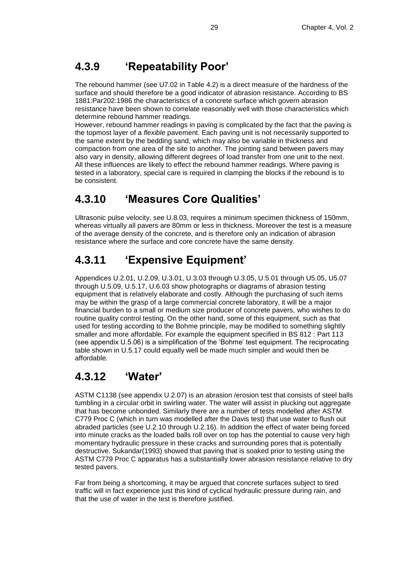## **4.3.9 'Repeatability Poor'**

The rebound hammer (see U7.02 in Table 4.2) is a direct measure of the hardness of the surface and should therefore be a good indicator of abrasion resistance. According to BS 1881:Par202:1986 the characteristics of a concrete surface which govern abrasion resistance have been shown to correlate reasonably well with those characteristics which determine rebound hammer readings.

However, rebound hammer readings in paving is complicated by the fact that the paving is the topmost layer of a *flexible* pavement. Each paving unit is not necessarily supported to the same extent by the bedding sand, which may also be variable in thickness and compaction from one area of the site to another. The jointing sand between pavers may also vary in density, allowing different degrees of load transfer from one unit to the next. All these influences are likely to effect the rebound hammer readings. Where paving is tested in a laboratory, special care is required in clamping the blocks if the rebound is to be consistent.

## **4.3.10 'Measures Core Qualities'**

Ultrasonic pulse velocity, see U.8.03, requires a minimum specimen thickness of 150mm, whereas virtually all pavers are 80mm or less in thickness. Moreover the test is a measure of the average density of the concrete, and is therefore only an indication of abrasion resistance where the surface and core concrete have the same density.

## **4.3.11 'Expensive Equipment'**

Appendices U.2.01, U.2.09, U.3.01, U.3.03 through U.3.05, U.5.01 through U5.05, U5.07 through U.5.09, U.5.17, U.6.03 show photographs or diagrams of abrasion testing equipment that is relatively elaborate and costly. Although the purchasing of such items may be within the grasp of a large commercial concrete laboratory, it will be a major financial burden to a small or medium size producer of concrete pavers, who wishes to do routine quality control testing. On the other hand, some of this equipment, such as that used for testing according to the Bohme principle, may be modified to something slightly smaller and more affordable. For example the equipment specified in BS 812 : Part 113 (see appendix U.5.06) is a simplification of the 'Bohme' test equipment. The reciprocating table shown in U.5.17 could equally well be made much simpler and would then be affordable.

## **4.3.12 'Water'**

ASTM C1138 (see appendix U.2.07) is an abrasion /erosion test that consists of steel balls tumbling in a circular orbit in swirling water. The water will assist in plucking out aggregate that has become unbonded. Similarly there are a number of tests modelled after ASTM C779 Proc C (which in turn was modelled after the Davis test) that use water to flush out abraded particles (see U.2.10 through U.2.16). In addition the effect of water being forced into minute cracks as the loaded balls roll over on top has the potential to cause very high momentary hydraulic pressure in these cracks and surrounding pores that is potentially destructive. Sukandar(1993) showed that paving that is soaked prior to testing using the ASTM C779 Proc C apparatus has a substantially lower abrasion resistance relative to dry tested pavers.

Far from being a shortcoming, it may be argued that concrete surfaces subject to tired traffic will in fact experience just this kind of cyclical hydraulic pressure during rain, and that the use of water in the test is therefore justified.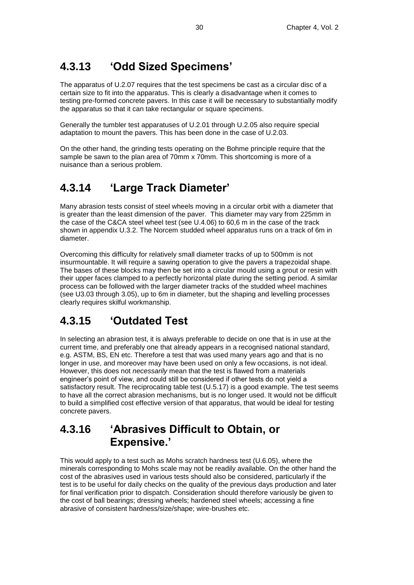## **4.3.13 'Odd Sized Specimens'**

The apparatus of U.2.07 requires that the test specimens be cast as a circular disc of a certain size to fit into the apparatus. This is clearly a disadvantage when it comes to testing pre-formed concrete pavers. In this case it will be necessary to substantially modify the apparatus so that it can take rectangular or square specimens.

Generally the tumbler test apparatuses of U.2.01 through U.2.05 also require special adaptation to mount the pavers. This has been done in the case of U.2.03.

On the other hand, the grinding tests operating on the Bohme principle require that the sample be sawn to the plan area of 70mm x 70mm. This shortcoming is more of a nuisance than a serious problem.

## **4.3.14 'Large Track Diameter'**

Many abrasion tests consist of steel wheels moving in a circular orbit with a diameter that is greater than the least dimension of the paver. This diameter may vary from 225mm in the case of the C&CA steel wheel test (see U.4.06) to 60,6 m in the case of the track shown in appendix U.3.2. The Norcem studded wheel apparatus runs on a track of 6m in diameter.

Overcoming this difficulty for relatively small diameter tracks of up to 500mm is not insurmountable. It will require a sawing operation to give the pavers a trapezoidal shape. The bases of these blocks may then be set into a circular mould using a grout or resin with their upper faces clamped to a perfectly horizontal plate during the setting period. A similar process can be followed with the larger diameter tracks of the studded wheel machines (see U3.03 through 3.05), up to 6m in diameter, but the shaping and levelling processes clearly requires skilful workmanship.

## **4.3.15 'Outdated Test**

In selecting an abrasion test, it is always preferable to decide on one that is in use at the current time, and preferably one that already appears in a recognised national standard, e.g. ASTM, BS, EN etc. Therefore a test that was used many years ago and that is no longer in use, and moreover may have been used on only a few occasions, is not ideal. However, this does not *necessarily* mean that the test is flawed from a materials engineer's point of view, and could still be considered if other tests do not yield a satisfactory result. The reciprocating table test (U.5.17) is a good example. The test seems to have all the correct abrasion mechanisms, but is no longer used. It would not be difficult to build a simplified cost effective version of that apparatus, that would be ideal for testing concrete pavers.

## **4.3.16 'Abrasives Difficult to Obtain, or Expensive.'**

This would apply to a test such as Mohs scratch hardness test (U.6.05), where the minerals corresponding to Mohs scale may not be readily available. On the other hand the cost of the abrasives used in various tests should also be considered, particularly if the test is to be useful for daily checks on the quality of the previous days production and later for final verification prior to dispatch. Consideration should therefore variously be given to the cost of ball bearings; dressing wheels; hardened steel wheels; accessing a fine abrasive of consistent hardness/size/shape; wire-brushes etc.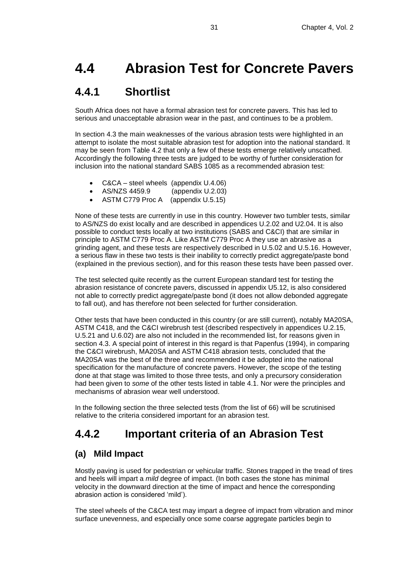# **4.4 Abrasion Test for Concrete Pavers**

### **4.4.1 Shortlist**

South Africa does not have a formal abrasion test for concrete pavers. This has led to serious and unacceptable abrasion wear in the past, and continues to be a problem.

In section 4.3 the main weaknesses of the various abrasion tests were highlighted in an attempt to isolate the most suitable abrasion test for adoption into the national standard. It may be seen from Table 4.2 that only a few of these tests emerge relatively unscathed. Accordingly the following three tests are judged to be worthy of further consideration for inclusion into the national standard SABS 1085 as a recommended abrasion test:

- C&CA steel wheels (appendix U.4.06)
- AS/NZS 4459.9 (appendix U.2.03)
- ASTM C779 Proc A (appendix U.5.15)

None of these tests are currently in use in this country. However two tumbler tests, similar to AS/NZS do exist locally and are described in appendices U.2.02 and U2.04. It is also possible to conduct tests locally at two institutions (SABS and C&CI) that are similar in principle to ASTM C779 Proc A. Like ASTM C779 Proc A they use an abrasive as a grinding agent, and these tests are respectively described in U.5.02 and U.5.16. However, a serious flaw in these two tests is their inability to correctly predict aggregate/paste bond (explained in the previous section), and for this reason these tests have been passed over.

The test selected quite recently as the current European standard test for testing the abrasion resistance of concrete pavers, discussed in appendix U5.12, is also considered not able to correctly predict aggregate/paste bond (it does not allow debonded aggregate to fall out), and has therefore not been selected for further consideration.

Other tests that have been conducted in this country (or are still current), notably MA20SA, ASTM C418, and the C&CI wirebrush test (described respectively in appendices U.2.15, U.5.21 and U.6.02) are also not included in the recommended list, for reasons given in section 4.3. A special point of interest in this regard is that Papenfus (1994), in comparing the C&CI wirebrush, MA20SA and ASTM C418 abrasion tests, concluded that the MA20SA was the best of the three and recommended it be adopted into the national specification for the manufacture of concrete pavers. However, the scope of the testing done at that stage was limited to those three tests, and only a precursory consideration had been given to *some* of the other tests listed in table 4.1. Nor were the principles and mechanisms of abrasion wear well understood.

In the following section the three selected tests (from the list of 66) will be scrutinised relative to the criteria considered important for an abrasion test.

### **4.4.2 Important criteria of an Abrasion Test**

#### **(a) Mild Impact**

Mostly paving is used for pedestrian or vehicular traffic. Stones trapped in the tread of tires and heels will impart a *mild* degree of impact. (In both cases the stone has minimal velocity in the downward direction at the time of impact and hence the corresponding abrasion action is considered 'mild').

The steel wheels of the C&CA test may impart a degree of impact from vibration and minor surface unevenness, and especially once some coarse aggregate particles begin to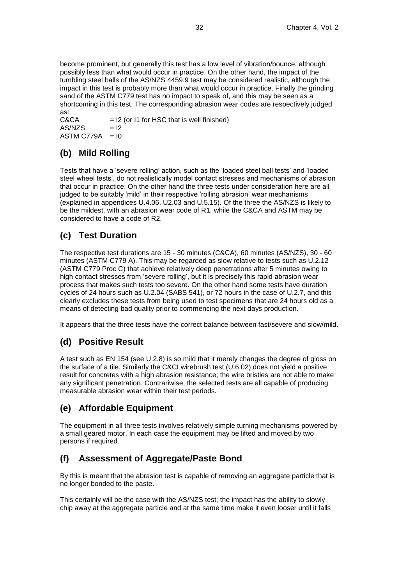become prominent, but generally this test has a low level of vibration/bounce, although possibly less than what would occur in practice. On the other hand, the impact of the tumbling steel balls of the AS/NZS 4459.9 test may be considered realistic, although the impact in this test is probably more than what would occur in practice. Finally the grinding sand of the ASTM C779 test has no impact to speak of, and this may be seen as a shortcoming in this test. The corresponding abrasion wear codes are respectively judged as:

 $C&CA$  = I2 (or I1 for HSC that is well finished)  $AS/NZS = I2$  $ASTM C779A = 10$ 

#### **(b) Mild Rolling**

Tests that have a 'severe rolling' action, such as the 'loaded steel ball tests' and 'loaded steel wheel tests', do not realistically model contact stresses and mechanisms of abrasion that occur in practice. On the other hand the three tests under consideration here are all judged to be suitably 'mild' in their respective 'rolling abrasion' wear mechanisms (explained in appendices U.4.06, U2.03 and U.5.15). Of the three the AS/NZS is likely to be the mildest, with an abrasion wear code of R1, while the C&CA and ASTM may be considered to have a code of R2.

#### **(c) Test Duration**

The respective test durations are 15 - 30 minutes (C&CA), 60 minutes (AS/NZS), 30 - 60 minutes (ASTM C779 A). This may be regarded as slow relative to tests such as U.2.12 (ASTM C779 Proc C) that achieve relatively deep penetrations after 5 minutes owing to high contact stresses from 'severe rolling', but it is precisely this rapid abrasion wear process that makes such tests too severe. On the other hand some tests have duration cycles of 24 hours such as U.2.04 (SABS 541), or 72 hours in the case of U.2.7, and this clearly excludes these tests from being used to test specimens that are 24 hours old as a means of detecting bad quality prior to commencing the next days production.

It appears that the three tests have the correct balance between fast/severe and slow/mild.

#### **(d) Positive Result**

A test such as EN 154 (see U.2.8) is so mild that it merely changes the degree of gloss on the surface of a tile. Similarly the C&CI wirebrush test (U.6.02) does not yield a positive result for concretes with a high abrasion resistance; the wire bristles are not able to make any significant penetration. Contrariwise, the selected tests are all capable of producing measurable abrasion wear within their test periods.

#### **(e) Affordable Equipment**

The equipment in all three tests involves relatively simple turning mechanisms powered by a small geared motor. In each case the equipment may be lifted and moved by two persons if required.

#### **(f) Assessment of Aggregate/Paste Bond**

By this is meant that the abrasion test is capable of removing an aggregate particle that is no longer bonded to the paste.

This certainly will be the case with the AS/NZS test; the impact has the ability to slowly chip away at the aggregate particle and at the same time make it even looser until it falls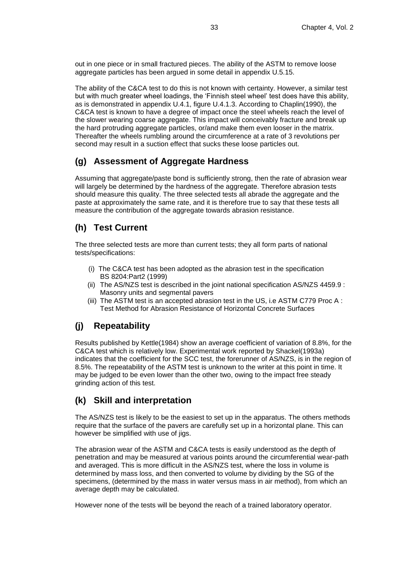out in one piece or in small fractured pieces. The ability of the ASTM to remove loose aggregate particles has been argued in some detail in appendix U.5.15.

The ability of the C&CA test to do this is not known with certainty. However, a similar test but with much greater wheel loadings, the 'Finnish steel wheel' test does have this ability, as is demonstrated in appendix U.4.1, figure U.4.1.3. According to Chaplin(1990), the C&CA test is known to have a degree of impact once the steel wheels reach the level of the slower wearing coarse aggregate. This impact will conceivably fracture and break up the hard protruding aggregate particles, or/and make them even looser in the matrix. Thereafter the wheels rumbling around the circumference at a rate of 3 revolutions per second may result in a suction effect that sucks these loose particles out.

#### **(g) Assessment of Aggregate Hardness**

Assuming that aggregate/paste bond is sufficiently strong, then the rate of abrasion wear will largely be determined by the hardness of the aggregate. Therefore abrasion tests should measure this quality. The three selected tests all abrade the aggregate and the paste at approximately the same rate, and it is therefore true to say that these tests all measure the contribution of the aggregate towards abrasion resistance.

#### **(h) Test Current**

The three selected tests are more than current tests; they all form parts of national tests/specifications:

- (i) The C&CA test has been adopted as the abrasion test in the specification BS 8204:Part2 (1999)
- (ii) The AS/NZS test is described in the joint national specification AS/NZS 4459.9 : Masonry units and segmental pavers
- (iii) The ASTM test is an accepted abrasion test in the US, i.e ASTM C779 Proc A : Test Method for Abrasion Resistance of Horizontal Concrete Surfaces

#### **(j) Repeatability**

Results published by Kettle(1984) show an average coefficient of variation of 8.8%, for the C&CA test which is relatively low. Experimental work reported by Shackel(1993a) indicates that the coefficient for the SCC test, the forerunner of AS/NZS, is in the region of 8.5%. The repeatability of the ASTM test is unknown to the writer at this point in time. It may be judged to be even lower than the other two, owing to the impact free steady grinding action of this test.

#### **(k) Skill and interpretation**

The AS/NZS test is likely to be the easiest to set up in the apparatus. The others methods require that the surface of the pavers are carefully set up in a horizontal plane. This can however be simplified with use of jigs.

The abrasion wear of the ASTM and C&CA tests is easily understood as the depth of penetration and may be measured at various points around the circumferential wear-path and averaged. This is more difficult in the AS/NZS test, where the loss in volume is determined by mass loss, and then converted to volume by dividing by the SG of the specimens, (determined by the mass in water versus mass in air method), from which an average depth may be calculated.

However none of the tests will be beyond the reach of a trained laboratory operator.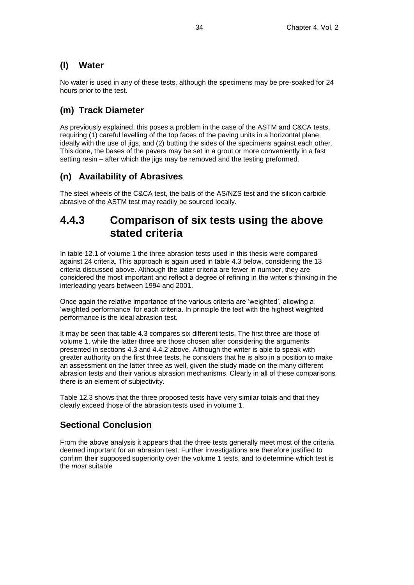#### **(l) Water**

No water is used in any of these tests, although the specimens may be pre-soaked for 24 hours prior to the test.

#### **(m) Track Diameter**

As previously explained, this poses a problem in the case of the ASTM and C&CA tests, requiring (1) careful levelling of the top faces of the paving units in a horizontal plane, ideally with the use of jigs, and (2) butting the sides of the specimens against each other. This done, the bases of the pavers may be set in a grout or more conveniently in a fast setting resin – after which the jigs may be removed and the testing preformed.

#### **(n) Availability of Abrasives**

The steel wheels of the C&CA test, the balls of the AS/NZS test and the silicon carbide abrasive of the ASTM test may readily be sourced locally.

### **4.4.3 Comparison of six tests using the above stated criteria**

In table 12.1 of volume 1 the three abrasion tests used in this thesis were compared against 24 criteria. This approach is again used in table 4.3 below, considering the 13 criteria discussed above. Although the latter criteria are fewer in number, they are considered the most important and reflect a degree of refining in the writer's thinking in the interleading years between 1994 and 2001.

Once again the relative importance of the various criteria are 'weighted', allowing a 'weighted performance' for each criteria. In principle the test with the highest weighted performance is the ideal abrasion test.

It may be seen that table 4.3 compares six different tests. The first three are those of volume 1, while the latter three are those chosen after considering the arguments presented in sections 4.3 and 4.4.2 above. Although the writer is able to speak with greater authority on the first three tests, he considers that he is also in a position to make an assessment on the latter three as well, given the study made on the many different abrasion tests and their various abrasion mechanisms. Clearly in all of these comparisons there is an element of subjectivity.

Table 12.3 shows that the three proposed tests have very similar totals and that they clearly exceed those of the abrasion tests used in volume 1.

#### **Sectional Conclusion**

From the above analysis it appears that the three tests generally meet most of the criteria deemed important for an abrasion test. Further investigations are therefore justified to confirm their supposed superiority over the volume 1 tests, and to determine which test is the *most* suitable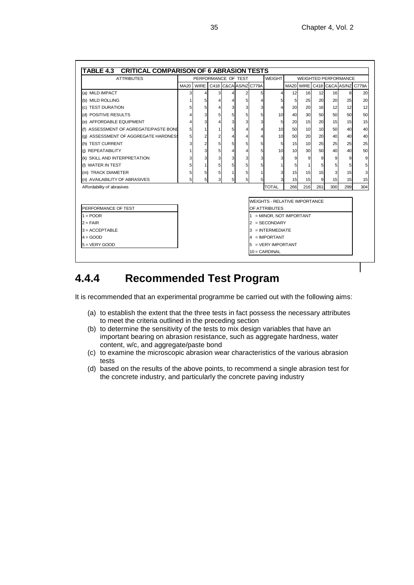| <b>ATTRIBUTES</b>                     | PERFORMANCE OF TEST      |                         |                         |   |   |                            | <b>WEIGHT</b> | <b>WEIGHTED PERFORMANCE</b> |                 |     |     |                                 |     |
|---------------------------------------|--------------------------|-------------------------|-------------------------|---|---|----------------------------|---------------|-----------------------------|-----------------|-----|-----|---------------------------------|-----|
|                                       | <b>MA20</b>              |                         |                         |   |   | WIRE C418 C&CA AS/NZ C779A |               |                             |                 |     |     | MA20 WIRE C418 C&CA AS/NZ C779A |     |
| (a) MILD IMPACT                       | 3                        |                         | 3                       |   | 2 | 5                          |               | 12                          | 16              | 12  | 16  | 8                               | 20  |
| (b) MILD ROLLING                      |                          | 5                       |                         |   | 5 |                            | 5             | 5                           | 25              | 20  | 20  | 25                              | 20  |
| (c) TEST DURATION                     |                          | 5                       |                         | 3 | 3 | 3                          | 4             | 20                          | 20              | 16  | 12  | 12                              | 12  |
| (d) POSITIVE RESULTS                  |                          | 3                       | 5                       | 5 | 5 | 5                          | 10            | 40                          | 30              | 50  | 50  | 50                              | 50  |
| (e) AFFORDABLE EQUIPMENT              | 4                        | 3                       |                         | 3 | 3 | 3                          | 5             | 20                          | 15              | 20  | 15  | 15                              | 15  |
| (f) ASSESSMENT OF AGREGATE/PASTE BOND | 5                        |                         |                         | 5 |   | Δ                          | 10            | 50                          | 10 <sup>1</sup> | 10  | 50  | 40                              | 40  |
| (g) ASSESSMENT OF AGGREGATE HARDNESS  | 5                        | 2                       |                         | 4 | 4 | 4                          | 10            | 50                          | 20              | 20  | 40  | 40                              | 40  |
| (h) TEST CURRENT                      | 3                        | $\overline{\mathbf{c}}$ | 5                       | 5 | 5 | 5                          | 5             | 15                          | 10 <sup>1</sup> | 25  | 25  | 25                              | 25  |
| (i) REPEATABILITY                     |                          | 3                       | 5                       |   | 4 | 5                          | 10            | 10 <sup>1</sup>             | 30              | 50  | 40  | 40                              | 50  |
| (k) SKILL AND INTERPRETATION          | 3                        | 3                       | 3                       | 3 | 3 | 3                          | 3             | 9                           | 9               | 9   | 9   | 9                               | 9   |
| (I) WATER IN TEST                     | 5                        |                         | 5                       |   | 5 | 5                          |               | 5                           |                 | 5   | 5   | 5                               | 5   |
| (m) TRACK DIAMETER                    | 5                        | 5                       | 5                       |   | 5 |                            | 3             | 15                          | 15              | 15  | 3   | 15                              | 3   |
| (n) AVAILABILITY OF ABRASIVES         | 5                        | 5                       | $\overline{\mathbf{3}}$ | 5 | 5 | 5                          | 3             | 15                          | 15              | 9   | 15  | 15                              | 15  |
| Affordability of abrasives            |                          |                         |                         |   |   |                            | <b>TOTAL</b>  | 266                         | 216             | 261 | 300 | 299                             | 304 |
| <b>WEIGHTS - RELATIVE IMPORTANCE</b>  |                          |                         |                         |   |   |                            |               |                             |                 |     |     |                                 |     |
| PERFORMANCE OF TEST                   | OF ATTRIBUTES            |                         |                         |   |   |                            |               |                             |                 |     |     |                                 |     |
| $1 = POOR$                            | 1 = MINOR, NOT IMPORTANT |                         |                         |   |   |                            |               |                             |                 |     |     |                                 |     |
| $2 = FAIR$                            | $2 = SECONDARY$          |                         |                         |   |   |                            |               |                             |                 |     |     |                                 |     |
| $3 =$ ACCEPTABLE                      | 3 = INTERMEDIATE         |                         |                         |   |   |                            |               |                             |                 |     |     |                                 |     |
| $4 = GOOD$                            | $4 = IMPORTANT$          |                         |                         |   |   |                            |               |                             |                 |     |     |                                 |     |
| $5 = VERT$ GOOD                       | $5 = VERY INPORTANT$     |                         |                         |   |   |                            |               |                             |                 |     |     |                                 |     |
|                                       |                          |                         |                         |   |   | $10 = CARDINAL$            |               |                             |                 |     |     |                                 |     |

## **4.4.4 Recommended Test Program**

It is recommended that an experimental programme be carried out with the following aims:

- (a) to establish the extent that the three tests in fact possess the necessary attributes to meet the criteria outlined in the preceding section
- (b) to determine the sensitivity of the tests to mix design variables that have an important bearing on abrasion resistance, such as aggregate hardness, water content, w/c, and aggregate/paste bond
- (c) to examine the microscopic abrasion wear characteristics of the various abrasion tests
- (d) based on the results of the above points, to recommend a single abrasion test for the concrete industry, and particularly the concrete paving industry